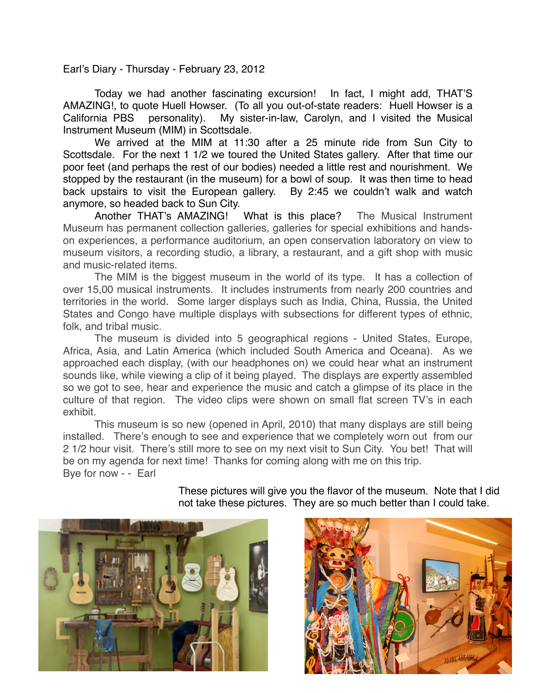Earl's Diary - Thursday - February 23, 2012

Today we had another fascinating excursion! In fact, I might add, THAT'S AMAZING!, to quote Huell Howser. (To all you out-of-state readers: Huell Howser is a California PBS personality). My sister-in-law, Carolyn, and I visited the Musical Instrument Museum (MIM) in Scottsdale.

We arrived at the MIM at 11:30 after a 25 minute ride from Sun City to Scottsdale. For the next 1 1/2 we toured the United States gallery. After that time our poor feet (and perhaps the rest of our bodies) needed a little rest and nourishment. We stopped by the restaurant (in the museum) for a bowl of soup. It was then time to head back upstairs to visit the European gallery. By 2:45 we couldn't walk and watch anymore, so headed back to Sun City.

Another THAT's AMAZING! What is this place? The Musical Instrument Museum has permanent collection galleries, galleries for special exhibitions and handson experiences, a performance auditorium, an open conservation laboratory on view to museum visitors, a recording studio, a library, a restaurant, and a gift shop with music and music-related items.

The MIM is the biggest museum in the world of its type. It has a collection of over 15,00 musical instruments. It includes instruments from nearly 200 countries and territories in the world. Some larger displays such as India, China, Russia, the United States and Congo have multiple displays with subsections for different types of ethnic, folk, and tribal music.

The museum is divided into 5 geographical regions - United States, Europe, Africa, Asia, and Latin America (which included South America and Oceana). As we approached each display, (with our headphones on) we could hear what an instrument sounds like, while viewing a clip of it being played. The displays are expertly assembled so we got to see, hear and experience the music and catch a glimpse of its place in the culture of that region. The video clips were shown on small flat screen TV's in each exhibit.

This museum is so new (opened in April, 2010) that many displays are still being installed. There's enough to see and experience that we completely worn out from our 2 1/2 hour visit. There's still more to see on my next visit to Sun City. You bet! That will be on my agenda for next time! Thanks for coming along with me on this trip. Bye for now - - Earl

> These pictures will give you the flavor of the museum. Note that I did not take these pictures. They are so much better than I could take.